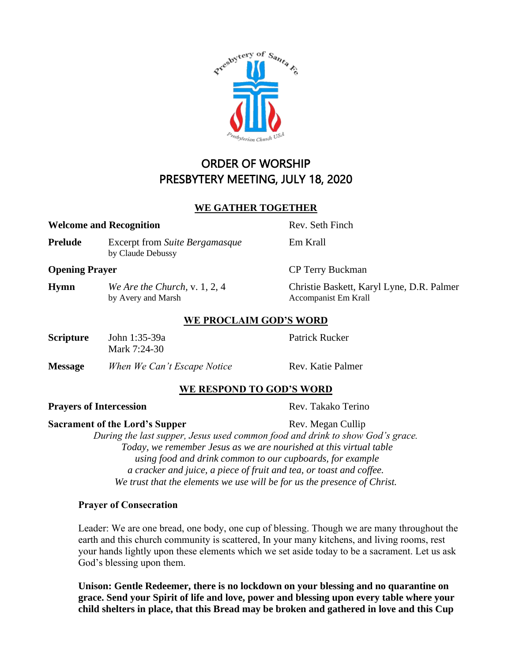ORDER OF WORSHIP PRESBYTERY MEETING, JULY 18, 2020

### **WE GATHER TOGETHER**

#### **Welcome and Recognition** Rev. Seth Finch

**Prelude** Excerpt from *Suite Bergamasque* Em Krall by Claude Debussy

### **Opening Prayer** CP Terry Buckman

**Hymn** *We Are the Church,* v. 1, 2, 4 Christie Baskett, Karyl Lyne, D.R. Palmer by Avery and Marsh Accompanist Em Krall

# **WE PROCLAIM GOD'S WORD**

| <b>Scripture</b> | John 1:35-39a |
|------------------|---------------|
|                  | Mark 7:24-30  |

**Message** *When We Can't Escape Notice* **Rev. Katie Palmer** 

# **WE RESPOND TO GOD'S WORD**

# **Prayers of Intercession** Rev. Takako Terino

### **Sacrament of the Lord's Supper** Rev. Megan Cullip

*During the last supper, Jesus used common food and drink to show God's grace. Today, we remember Jesus as we are nourished at this virtual table using food and drink common to our cupboards, for example a cracker and juice, a piece of fruit and tea, or toast and coffee. We trust that the elements we use will be for us the presence of Christ.*

### **Prayer of Consecration**

Leader: We are one bread, one body, one cup of blessing. Though we are many throughout the earth and this church community is scattered, In your many kitchens, and living rooms, rest your hands lightly upon these elements which we set aside today to be a sacrament. Let us ask God's blessing upon them.

**Unison: Gentle Redeemer, there is no lockdown on your blessing and no quarantine on grace. Send your Spirit of life and love, power and blessing upon every table where your child shelters in place, that this Bread may be broken and gathered in love and this Cup** 

**Patrick Rucker**